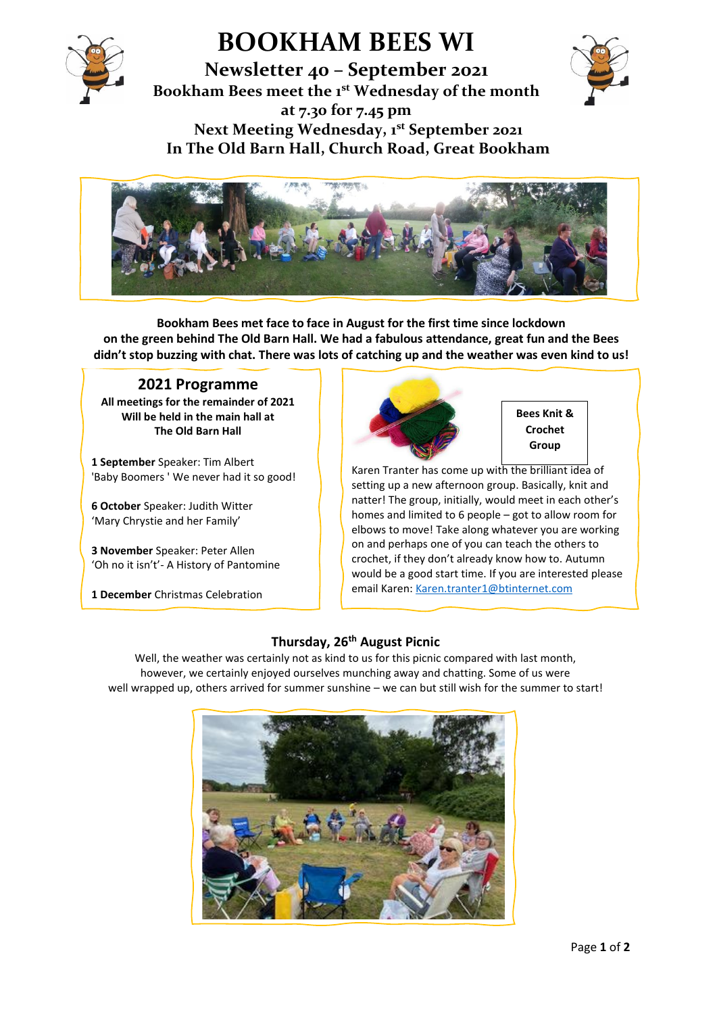

# **BOOKHAM BEES WI**

**Newsletter 40 – September 2021 Bookham Bees meet the 1st Wednesday of the month at 7.30 for 7.45 pm Next Meeting Wednesday, 1st September 2021 In The Old Barn Hall, Church Road, Great Bookham**





**Bookham Bees met face to face in August for the first time since lockdown on the green behind The Old Barn Hall. We had a fabulous attendance, great fun and the Bees didn't stop buzzing with chat. There was lots of catching up and the weather was even kind to us!**

# **2021 Programme**

**All meetings for the remainder of 2021 Will be held in the main hall at The Old Barn Hall**

**1 September** Speaker: Tim Albert 'Baby Boomers ' We never had it so good!

**6 October** Speaker: Judith Witter 'Mary Chrystie and her Family'

**3 November** Speaker: Peter Allen 'Oh no it isn't'- A History of Pantomine

**1 December** Christmas Celebration



**Bees Knit & Crochet Group**

Karen Tranter has come up with the brilliant idea of setting up a new afternoon group. Basically, knit and natter! The group, initially, would meet in each other's homes and limited to 6 people – got to allow room for elbows to move! Take along whatever you are working on and perhaps one of you can teach the others to crochet, if they don't already know how to. Autumn would be a good start time. If you are interested please email Karen: [Karen.tranter1@btinternet.com](mailto:Karen.tranter1@btinternet.com) 

## **Thursday, 26th August Picnic**

Well, the weather was certainly not as kind to us for this picnic compared with last month, however, we certainly enjoyed ourselves munching away and chatting. Some of us were well wrapped up, others arrived for summer sunshine – we can but still wish for the summer to start!